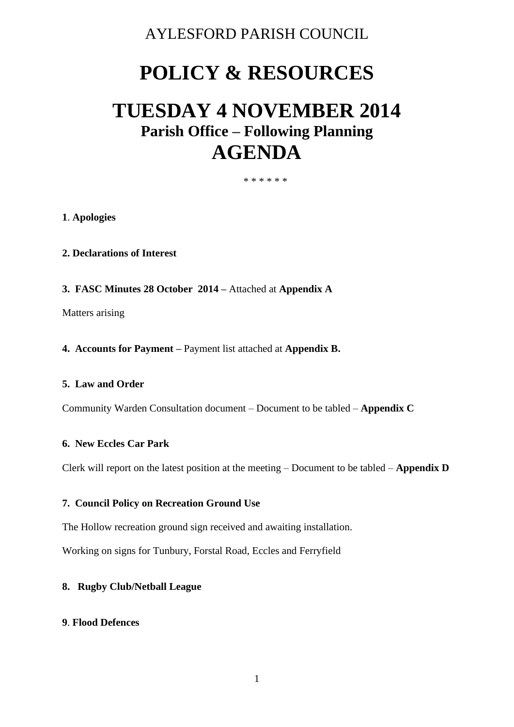# AYLESFORD PARISH COUNCIL

# **POLICY & RESOURCES**

# **TUESDAY 4 NOVEMBER 2014 Parish Office – Following Planning AGENDA**

#### \* \* \* \* \* \*

# **1**. **Apologies**

- **2. Declarations of Interest**
- **3. FASC Minutes 28 October 2014 –** Attached at **Appendix A**

Matters arising

**4. Accounts for Payment –** Payment list attached at **Appendix B.** 

# **5. Law and Order**

Community Warden Consultation document – Document to be tabled – **Appendix C**

#### **6. New Eccles Car Park**

Clerk will report on the latest position at the meeting – Document to be tabled – **Appendix D**

#### **7. Council Policy on Recreation Ground Use**

The Hollow recreation ground sign received and awaiting installation.

Working on signs for Tunbury, Forstal Road, Eccles and Ferryfield

# **8. Rugby Club/Netball League**

#### **9**. **Flood Defences**